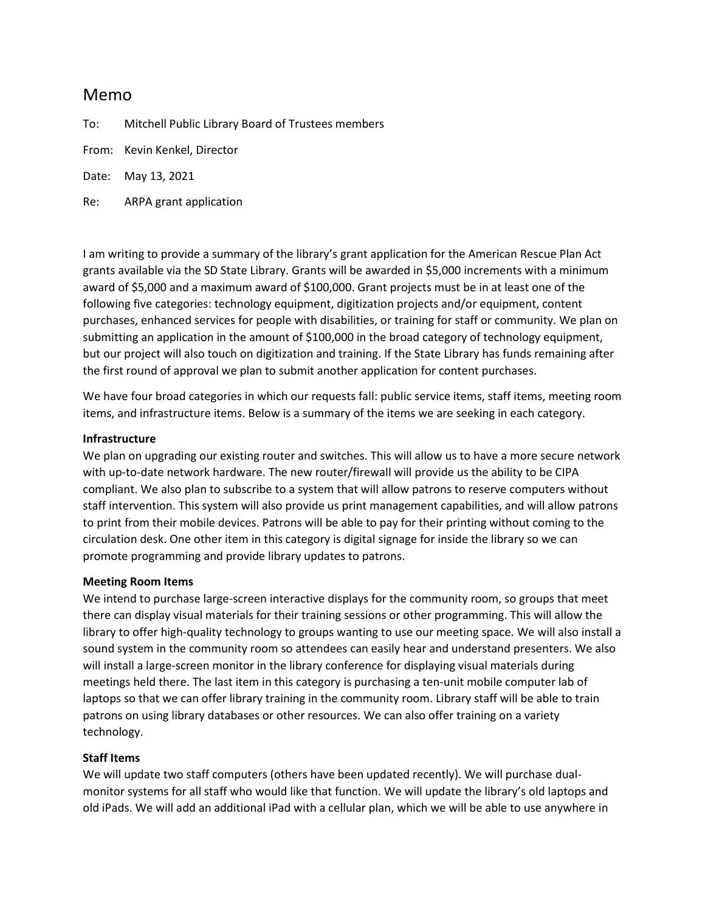# Memo

To: Mitchell Public Library Board of Trustees members

From: Kevin Kenkel, Director

Date: May 13, 2021

Re: ARPA grant application

I am writing to provide a summary of the library's grant application for the American Rescue Plan Act grants available via the SD State Library. Grants will be awarded in \$5,000 increments with a minimum award of \$5,000 and a maximum award of \$100,000. Grant projects must be in at least one of the following five categories: technology equipment, digitization projects and/or equipment, content purchases, enhanced services for people with disabilities, or training for staff or community. We plan on submitting an application in the amount of \$100,000 in the broad category of technology equipment, but our project will also touch on digitization and training. If the State Library has funds remaining after the first round of approval we plan to submit another application for content purchases.

We have four broad categories in which our requests fall: public service items, staff items, meeting room items, and infrastructure items. Below is a summary of the items we are seeking in each category.

### **Infrastructure**

We plan on upgrading our existing router and switches. This will allow us to have a more secure network with up-to-date network hardware. The new router/firewall will provide us the ability to be CIPA compliant. We also plan to subscribe to a system that will allow patrons to reserve computers without staff intervention. This system will also provide us print management capabilities, and will allow patrons to print from their mobile devices. Patrons will be able to pay for their printing without coming to the circulation desk. One other item in this category is digital signage for inside the library so we can promote programming and provide library updates to patrons.

## **Meeting Room Items**

We intend to purchase large-screen interactive displays for the community room, so groups that meet there can display visual materials for their training sessions or other programming. This will allow the library to offer high-quality technology to groups wanting to use our meeting space. We will also install a sound system in the community room so attendees can easily hear and understand presenters. We also will install a large-screen monitor in the library conference for displaying visual materials during meetings held there. The last item in this category is purchasing a ten-unit mobile computer lab of laptops so that we can offer library training in the community room. Library staff will be able to train patrons on using library databases or other resources. We can also offer training on a variety technology.

## **Staff Items**

We will update two staff computers (others have been updated recently). We will purchase dualmonitor systems for all staff who would like that function. We will update the library's old laptops and old iPads. We will add an additional iPad with a cellular plan, which we will be able to use anywhere in